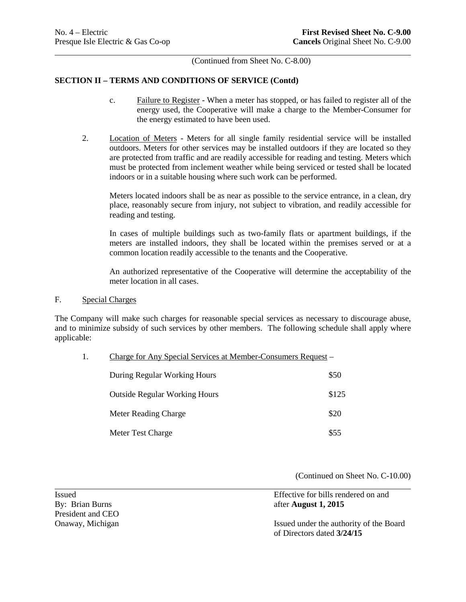$\overline{a}$ 

(Continued from Sheet No. C-8.00)

## **SECTION II – TERMS AND CONDITIONS OF SERVICE (Contd)**

- c. Failure to Register When a meter has stopped, or has failed to register all of the energy used, the Cooperative will make a charge to the Member-Consumer for the energy estimated to have been used.
- 2. Location of Meters Meters for all single family residential service will be installed outdoors. Meters for other services may be installed outdoors if they are located so they are protected from traffic and are readily accessible for reading and testing. Meters which must be protected from inclement weather while being serviced or tested shall be located indoors or in a suitable housing where such work can be performed.

Meters located indoors shall be as near as possible to the service entrance, in a clean, dry place, reasonably secure from injury, not subject to vibration, and readily accessible for reading and testing.

 meters are installed indoors, they shall be located within the premises served or at a In cases of multiple buildings such as two-family flats or apartment buildings, if the common location readily accessible to the tenants and the Cooperative.

 meter location in all cases. An authorized representative of the Cooperative will determine the acceptability of the

F. Special Charges

The Company will make such charges for reasonable special services as necessary to discourage abuse, and to minimize subsidy of such services by other members. The following schedule shall apply where applicable:

| Charge for Any Special Services at Member-Consumers Request – |       |
|---------------------------------------------------------------|-------|
| During Regular Working Hours                                  | \$50  |
| <b>Outside Regular Working Hours</b>                          | \$125 |
| Meter Reading Charge                                          | \$20  |
| Meter Test Charge                                             | \$55  |

(Continued on Sheet No. C-10.00)

 Issued Effective for bills rendered on and By: Brian Burns **after August 1, 2015** President and CEO Onaway, Michigan **Issued under the authority of the Board** of Directors dated **3/24/15**